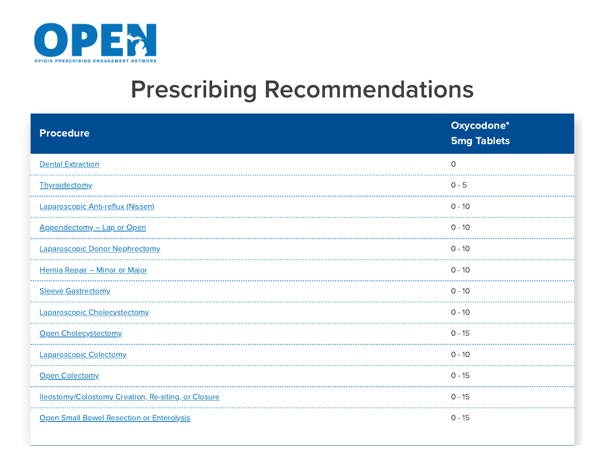

## Prescribing Recommendations

| <b>Procedure</b>                                    | Oxycodone*<br><b>5mg Tablets</b> |
|-----------------------------------------------------|----------------------------------|
| <b>Dental Extraction</b>                            | $\Omega$                         |
| Thyroidectomy                                       | $0 - 5$                          |
| Laparoscopic Anti-reflux (Nissen)                   | $0 - 10$                         |
| Appendectomy - Lap or Open                          | $0 - 10$                         |
| Laparoscopic Donor Nephrectomy                      | $0 - 10$                         |
| Hernia Repair - Minor or Major                      | $0 - 10$                         |
| <b>Sleeve Gastrectomy</b>                           | $0 - 10$                         |
| Laparoscopic Cholecystectomy                        | $0 - 10$                         |
| Open Cholecystectomy                                | $0 - 15$                         |
| <b>Laparoscopic Colectomy</b>                       | $0 - 10$                         |
| Open Colectomy                                      | $0 - 15$                         |
| lleostomy/Colostomy Creation, Re-siting, or Closure | $0 - 15$                         |
| <b>Open Small Bowel Resection or Enterolysis</b>    | $0 - 15$                         |